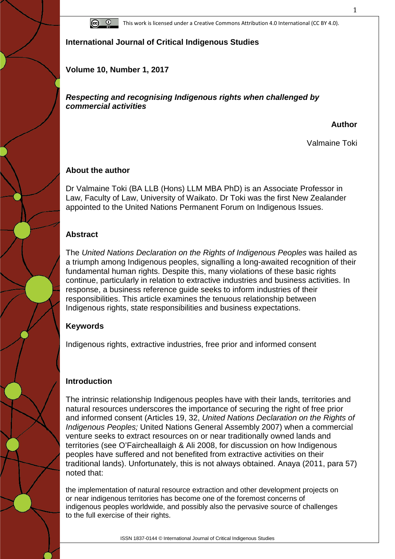

**International Journal of Critical Indigenous Studies**

**Volume 10, Number 1, 2017**

*Respecting and recognising Indigenous rights when challenged by commercial activities*

**Author**

Valmaine Toki

## **About the author**

Dr Valmaine Toki (BA LLB (Hons) LLM MBA PhD) is an Associate Professor in Law, Faculty of Law, University of Waikato. Dr Toki was the first New Zealander appointed to the United Nations Permanent Forum on Indigenous Issues.

## **Abstract**

The *United Nations Declaration on the Rights of Indigenous Peoples* was hailed as a triumph among Indigenous peoples, signalling a long-awaited recognition of their fundamental human rights. Despite this, many violations of these basic rights continue, particularly in relation to extractive industries and business activities. In response, a business reference guide seeks to inform industries of their responsibilities. This article examines the tenuous relationship between Indigenous rights, state responsibilities and business expectations.

# **Keywords**

Indigenous rights, extractive industries, free prior and informed consent

# **Introduction**

The intrinsic relationship Indigenous peoples have with their lands, territories and natural resources underscores the importance of securing the right of free prior and informed consent (Articles 19, 32, *United Nations Declaration on the Rights of Indigenous Peoples;* United Nations General Assembly 2007) when a commercial venture seeks to extract resources on or near traditionally owned lands and territories (see O'Faircheallaigh & Ali 2008, for discussion on how Indigenous peoples have suffered and not benefited from extractive activities on their traditional lands). Unfortunately, this is not always obtained. Anaya (2011, para 57) noted that:

the implementation of natural resource extraction and other development projects on or near indigenous territories has become one of the foremost concerns of indigenous peoples worldwide, and possibly also the pervasive source of challenges to the full exercise of their rights.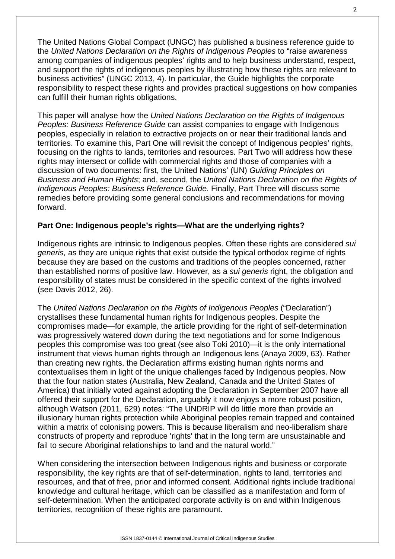The United Nations Global Compact (UNGC) has published a business reference guide to the *United Nations Declaration on the Rights of Indigenous Peoples* to "raise awareness among companies of indigenous peoples' rights and to help business understand, respect, and support the rights of indigenous peoples by illustrating how these rights are relevant to business activities" (UNGC 2013, 4). In particular, the Guide highlights the corporate responsibility to respect these rights and provides practical suggestions on how companies can fulfill their human rights obligations.

This paper will analyse how the *United Nations Declaration on the Rights of Indigenous Peoples: Business Reference Guide* can assist companies to engage with Indigenous peoples, especially in relation to extractive projects on or near their traditional lands and territories. To examine this, Part One will revisit the concept of Indigenous peoples' rights, focusing on the rights to lands, territories and resources. Part Two will address how these rights may intersect or collide with commercial rights and those of companies with a discussion of two documents: first, the United Nations' (UN) *Guiding Principles on Business and Human Rights*; and, second, the *United Nations Declaration on the Rights of Indigenous Peoples: Business Reference Guide*. Finally, Part Three will discuss some remedies before providing some general conclusions and recommendations for moving forward.

#### **Part One: Indigenous people's rights—What are the underlying rights?**

Indigenous rights are intrinsic to Indigenous peoples. Often these rights are considered *sui generis,* as they are unique rights that exist outside the typical orthodox regime of rights because they are based on the customs and traditions of the peoples concerned, rather than established norms of positive law. However, as a *sui generis* right, the obligation and responsibility of states must be considered in the specific context of the rights involved (see Davis 2012, 26).

The *United Nations Declaration on the Rights of Indigenous Peoples* ("Declaration") crystallises these fundamental human rights for Indigenous peoples. Despite the compromises made—for example, the article providing for the right of self-determination was progressively watered down during the text negotiations and for some Indigenous peoples this compromise was too great (see also Toki 2010)—it is the only international instrument that views human rights through an Indigenous lens (Anaya 2009, 63). Rather than creating new rights, the Declaration affirms existing human rights norms and contextualises them in light of the unique challenges faced by Indigenous peoples. Now that the four nation states (Australia, New Zealand, Canada and the United States of America) that initially voted against adopting the Declaration in September 2007 have all offered their support for the Declaration, arguably it now enjoys a more robust position, although Watson (2011, 629) notes: "The UNDRIP will do little more than provide an illusionary human rights protection while Aboriginal peoples remain trapped and contained within a matrix of colonising powers. This is because liberalism and neo-liberalism share constructs of property and reproduce 'rights' that in the long term are unsustainable and fail to secure Aboriginal relationships to land and the natural world."

When considering the intersection between Indigenous rights and business or corporate responsibility, the key rights are that of self-determination, rights to land, territories and resources, and that of free, prior and informed consent. Additional rights include traditional knowledge and cultural heritage, which can be classified as a manifestation and form of self-determination. When the anticipated corporate activity is on and within Indigenous territories, recognition of these rights are paramount.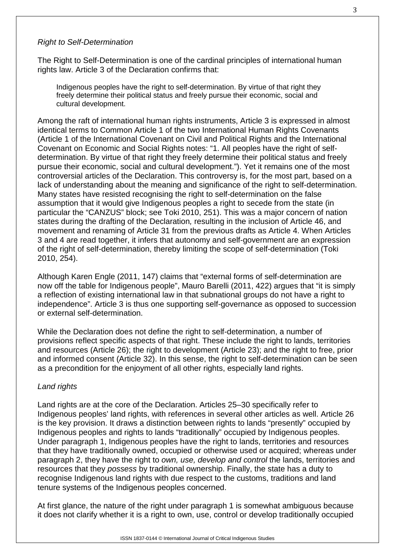#### *Right to Self-Determination*

The Right to Self-Determination is one of the cardinal principles of international human rights law. Article 3 of the Declaration confirms that:

Indigenous peoples have the right to self-determination. By virtue of that right they freely determine their political status and freely pursue their economic, social and cultural development.

Among the raft of international human rights instruments, Article 3 is expressed in almost identical terms to Common Article 1 of the two International Human Rights Covenants (Article 1 of the International Covenant on Civil and Political Rights and the International Covenant on Economic and Social Rights notes: "1. All peoples have the right of selfdetermination. By virtue of that right they freely determine their political status and freely pursue their economic, social and cultural development."). Yet it remains one of the most controversial articles of the Declaration. This controversy is, for the most part, based on a lack of understanding about the meaning and significance of the right to self-determination. Many states have resisted recognising the right to self-determination on the false assumption that it would give Indigenous peoples a right to secede from the state (in particular the "CANZUS" block; see Toki 2010, 251). This was a major concern of nation states during the drafting of the Declaration*,* resulting in the inclusion of Article 46, and movement and renaming of Article 31 from the previous drafts as Article 4. When Articles 3 and 4 are read together, it infers that autonomy and self-government are an expression of the right of self-determination, thereby limiting the scope of self-determination (Toki 2010, 254).

Although Karen Engle (2011, 147) claims that "external forms of self-determination are now off the table for Indigenous people", Mauro Barelli (2011, 422) argues that "it is simply a reflection of existing international law in that subnational groups do not have a right to independence". Article 3 is thus one supporting self-governance as opposed to succession or external self-determination.

While the Declaration does not define the right to self-determination, a number of provisions reflect specific aspects of that right. These include the right to lands, territories and resources (Article 26); the right to development (Article 23); and the right to free, prior and informed consent (Article 32). In this sense, the right to self-determination can be seen as a precondition for the enjoyment of all other rights, especially land rights.

#### *Land rights*

Land rights are at the core of the Declaration. Articles 25–30 specifically refer to Indigenous peoples' land rights, with references in several other articles as well. Article 26 is the key provision. It draws a distinction between rights to lands "presently" occupied by Indigenous peoples and rights to lands "traditionally" occupied by Indigenous peoples. Under paragraph 1, Indigenous peoples have the right to lands, territories and resources that they have traditionally owned, occupied or otherwise used or acquired; whereas under paragraph 2, they have the right to *own, use, develop and control* the lands, territories and resources that they *possess* by traditional ownership. Finally, the state has a duty to recognise Indigenous land rights with due respect to the customs, traditions and land tenure systems of the Indigenous peoples concerned.

At first glance, the nature of the right under paragraph 1 is somewhat ambiguous because it does not clarify whether it is a right to own, use, control or develop traditionally occupied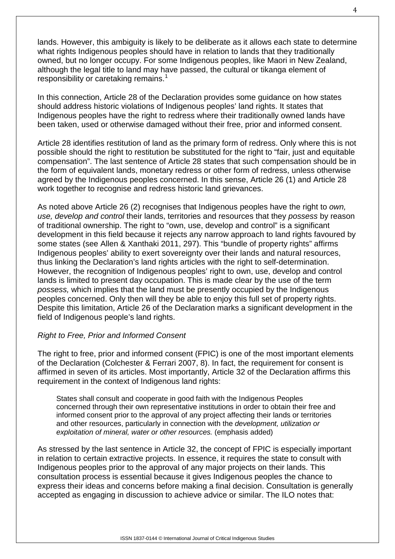lands. However, this ambiguity is likely to be deliberate as it allows each state to determine what rights Indigenous peoples should have in relation to lands that they traditionally owned, but no longer occupy. For some Indigenous peoples, like Maori in New Zealand, although the legal title to land may have passed, the cultural or tikanga element of responsibility or caretaking remains.<sup>[1](#page-16-0)</sup>

In this connection, Article 28 of the Declaration provides some guidance on how states should address historic violations of Indigenous peoples' land rights. It states that Indigenous peoples have the right to redress where their traditionally owned lands have been taken, used or otherwise damaged without their free, prior and informed consent.

Article 28 identifies restitution of land as the primary form of redress. Only where this is not possible should the right to restitution be substituted for the right to "fair, just and equitable compensation". The last sentence of Article 28 states that such compensation should be in the form of equivalent lands, monetary redress or other form of redress, unless otherwise agreed by the Indigenous peoples concerned. In this sense, Article 26 (1) and Article 28 work together to recognise and redress historic land grievances.

As noted above Article 26 (2) recognises that Indigenous peoples have the right to *own, use, develop and control* their lands, territories and resources that they *possess* by reason of traditional ownership. The right to "own, use, develop and control" is a significant development in this field because it rejects any narrow approach to land rights favoured by some states (see Allen & Xanthaki 2011, 297). This "bundle of property rights" affirms Indigenous peoples' ability to exert sovereignty over their lands and natural resources, thus linking the Declaration's land rights articles with the right to self-determination. However, the recognition of Indigenous peoples' right to own, use, develop and control lands is limited to present day occupation. This is made clear by the use of the term *possess,* which implies that the land must be presently occupied by the Indigenous peoples concerned. Only then will they be able to enjoy this full set of property rights. Despite this limitation, Article 26 of the Declaration marks a significant development in the field of Indigenous people's land rights.

#### *Right to Free, Prior and Informed Consent*

The right to free, prior and informed consent (FPIC) is one of the most important elements of the Declaration (Colchester & Ferrari 2007, 8). In fact, the requirement for consent is affirmed in seven of its articles. Most importantly, Article 32 of the Declaration affirms this requirement in the context of Indigenous land rights:

States shall consult and cooperate in good faith with the Indigenous Peoples concerned through their own representative institutions in order to obtain their free and informed consent prior to the approval of any project affecting their lands or territories and other resources, particularly in connection with the *development, utilization or exploitation of mineral, water or other resources.* (emphasis added)

As stressed by the last sentence in Article 32, the concept of FPIC is especially important in relation to certain extractive projects. In essence, it requires the state to consult with Indigenous peoples prior to the approval of any major projects on their lands. This consultation process is essential because it gives Indigenous peoples the chance to express their ideas and concerns before making a final decision. Consultation is generally accepted as engaging in discussion to achieve advice or similar. The ILO notes that: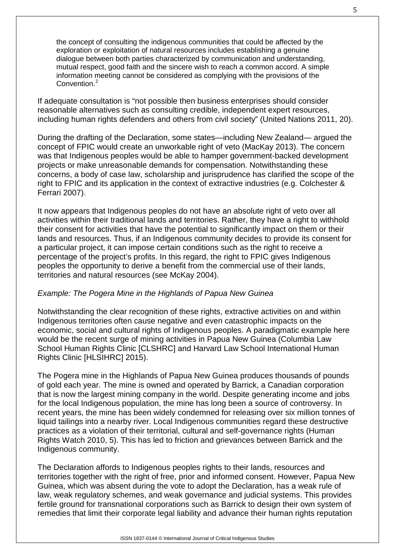the concept of consulting the indigenous communities that could be affected by the exploration or exploitation of natural resources includes establishing a genuine dialogue between both parties characterized by communication and understanding, mutual respect, good faith and the sincere wish to reach a common accord. A simple information meeting cannot be considered as complying with the provisions of the Convention.<sup>[2](#page-16-1)</sup>

If adequate consultation is "not possible then business enterprises should consider reasonable alternatives such as consulting credible, independent expert resources, including human rights defenders and others from civil society" (United Nations 2011, 20).

During the drafting of the Declaration, some states—including New Zealand— argued the concept of FPIC would create an unworkable right of veto (MacKay 2013). The concern was that Indigenous peoples would be able to hamper government-backed development projects or make unreasonable demands for compensation. Notwithstanding these concerns, a body of case law, scholarship and jurisprudence has clarified the scope of the right to FPIC and its application in the context of extractive industries (e.g. Colchester & Ferrari 2007).

It now appears that Indigenous peoples do not have an absolute right of veto over all activities within their traditional lands and territories. Rather, they have a right to withhold their consent for activities that have the potential to significantly impact on them or their lands and resources. Thus, if an Indigenous community decides to provide its consent for a particular project, it can impose certain conditions such as the right to receive a percentage of the project's profits. In this regard, the right to FPIC gives Indigenous peoples the opportunity to derive a benefit from the commercial use of their lands, territories and natural resources (see McKay 2004).

#### *Example: The Pogera Mine in the Highlands of Papua New Guinea*

Notwithstanding the clear recognition of these rights, extractive activities on and within Indigenous territories often cause negative and even catastrophic impacts on the economic, social and cultural rights of Indigenous peoples. A paradigmatic example here would be the recent surge of mining activities in Papua New Guinea (Columbia Law School Human Rights Clinic [CLSHRC] and Harvard Law School International Human Rights Clinic [HLSIHRC] 2015).

The Pogera mine in the Highlands of Papua New Guinea produces thousands of pounds of gold each year. The mine is owned and operated by Barrick, a Canadian corporation that is now the largest mining company in the world. Despite generating income and jobs for the local Indigenous population, the mine has long been a source of controversy. In recent years, the mine has been widely condemned for releasing over six million tonnes of liquid tailings into a nearby river. Local Indigenous communities regard these destructive practices as a violation of their territorial, cultural and self-governance rights (Human Rights Watch 2010, 5). This has led to friction and grievances between Barrick and the Indigenous community.

The Declaration affords to Indigenous peoples rights to their lands, resources and territories together with the right of free, prior and informed consent. However, Papua New Guinea, which was absent during the vote to adopt the Declaration, has a weak rule of law, weak regulatory schemes, and weak governance and judicial systems. This provides fertile ground for transnational corporations such as Barrick to design their own system of remedies that limit their corporate legal liability and advance their human rights reputation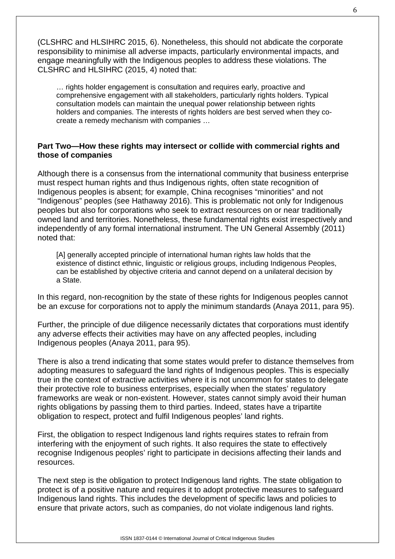(CLSHRC and HLSIHRC 2015, 6). Nonetheless, this should not abdicate the corporate responsibility to minimise all adverse impacts, particularly environmental impacts, and engage meaningfully with the Indigenous peoples to address these violations. The CLSHRC and HLSIHRC (2015, 4) noted that:

… rights holder engagement is consultation and requires early, proactive and comprehensive engagement with all stakeholders, particularly rights holders. Typical consultation models can maintain the unequal power relationship between rights holders and companies. The interests of rights holders are best served when they cocreate a remedy mechanism with companies …

#### **Part Two—How these rights may intersect or collide with commercial rights and those of companies**

Although there is a consensus from the international community that business enterprise must respect human rights and thus Indigenous rights, often state recognition of Indigenous peoples is absent; for example, China recognises "minorities" and not "Indigenous" peoples (see Hathaway 2016). This is problematic not only for Indigenous peoples but also for corporations who seek to extract resources on or near traditionally owned land and territories. Nonetheless, these fundamental rights exist irrespectively and independently of any formal international instrument. The UN General Assembly (2011) noted that:

[A] generally accepted principle of international human rights law holds that the existence of distinct ethnic, linguistic or religious groups, including Indigenous Peoples, can be established by objective criteria and cannot depend on a unilateral decision by a State.

In this regard, non-recognition by the state of these rights for Indigenous peoples cannot be an excuse for corporations not to apply the minimum standards (Anaya 2011, para 95).

Further, the principle of due diligence necessarily dictates that corporations must identify any adverse effects their activities may have on any affected peoples, including Indigenous peoples (Anaya 2011, para 95).

There is also a trend indicating that some states would prefer to distance themselves from adopting measures to safeguard the land rights of Indigenous peoples. This is especially true in the context of extractive activities where it is not uncommon for states to delegate their protective role to business enterprises, especially when the states' regulatory frameworks are weak or non-existent. However, states cannot simply avoid their human rights obligations by passing them to third parties. Indeed, states have a tripartite obligation to respect, protect and fulfil Indigenous peoples' land rights.

First, the obligation to respect Indigenous land rights requires states to refrain from interfering with the enjoyment of such rights. It also requires the state to effectively recognise Indigenous peoples' right to participate in decisions affecting their lands and resources.

The next step is the obligation to protect Indigenous land rights. The state obligation to protect is of a positive nature and requires it to adopt protective measures to safeguard Indigenous land rights. This includes the development of specific laws and policies to ensure that private actors, such as companies, do not violate indigenous land rights.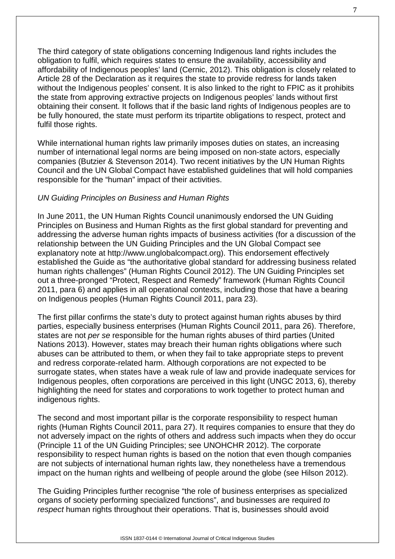The third category of state obligations concerning Indigenous land rights includes the obligation to fulfil, which requires states to ensure the availability, accessibility and affordability of Indigenous peoples' land (Cernic, 2012). This obligation is closely related to Article 28 of the Declaration as it requires the state to provide redress for lands taken without the Indigenous peoples' consent. It is also linked to the right to FPIC as it prohibits the state from approving extractive projects on Indigenous peoples' lands without first obtaining their consent. It follows that if the basic land rights of Indigenous peoples are to be fully honoured, the state must perform its tripartite obligations to respect, protect and fulfil those rights.

While international human rights law primarily imposes duties on states, an increasing number of international legal norms are being imposed on non-state actors, especially companies (Butzier & Stevenson 2014). Two recent initiatives by the UN Human Rights Council and the UN Global Compact have established guidelines that will hold companies responsible for the "human" impact of their activities.

#### *UN Guiding Principles on Business and Human Rights*

In June 2011, the UN Human Rights Council unanimously endorsed the UN Guiding Principles on Business and Human Rights as the first global standard for preventing and addressing the adverse human rights impacts of business activities (for a discussion of the relationship between the UN Guiding Principles and the UN Global Compact see explanatory note at http://www.unglobalcompact.org). This endorsement effectively established the Guide as "the authoritative global standard for addressing business related human rights challenges" (Human Rights Council 2012). The UN Guiding Principles set out a three-pronged "Protect, Respect and Remedy" framework (Human Rights Council 2011, para 6) and applies in all operational contexts, including those that have a bearing on Indigenous peoples (Human Rights Council 2011, para 23).

The first pillar confirms the state's duty to protect against human rights abuses by third parties, especially business enterprises (Human Rights Council 2011, para 26). Therefore, states are not *per se* responsible for the human rights abuses of third parties (United Nations 2013). However, states may breach their human rights obligations where such abuses can be attributed to them, or when they fail to take appropriate steps to prevent and redress corporate-related harm. Although corporations are not expected to be surrogate states, when states have a weak rule of law and provide inadequate services for Indigenous peoples, often corporations are perceived in this light (UNGC 2013, 6), thereby highlighting the need for states and corporations to work together to protect human and indigenous rights.

The second and most important pillar is the corporate responsibility to respect human rights (Human Rights Council 2011, para 27). It requires companies to ensure that they do not adversely impact on the rights of others and address such impacts when they do occur (Principle 11 of the UN Guiding Principles; see UNOHCHR 2012). The corporate responsibility to respect human rights is based on the notion that even though companies are not subjects of international human rights law, they nonetheless have a tremendous impact on the human rights and wellbeing of people around the globe (see Hilson 2012).

The Guiding Principles further recognise "the role of business enterprises as specialized organs of society performing specialized functions", and businesses are required *to respect* human rights throughout their operations. That is, businesses should avoid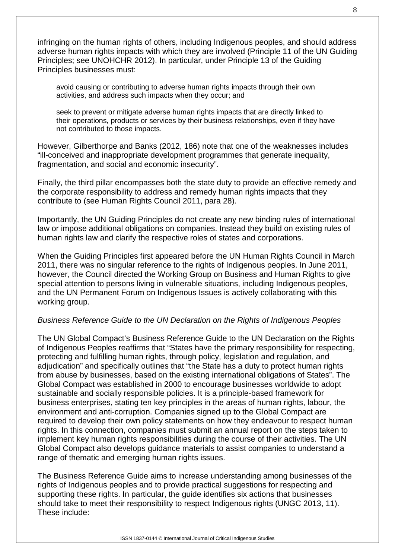infringing on the human rights of others, including Indigenous peoples, and should address adverse human rights impacts with which they are involved (Principle 11 of the UN Guiding Principles; see UNOHCHR 2012). In particular, under Principle 13 of the Guiding Principles businesses must:

avoid causing or contributing to adverse human rights impacts through their own activities, and address such impacts when they occur; and

seek to prevent or mitigate adverse human rights impacts that are directly linked to their operations, products or services by their business relationships, even if they have not contributed to those impacts.

However, Gilberthorpe and Banks (2012, 186) note that one of the weaknesses includes "ill-conceived and inappropriate development programmes that generate inequality, fragmentation, and social and economic insecurity".

Finally, the third pillar encompasses both the state duty to provide an effective remedy and the corporate responsibility to address and remedy human rights impacts that they contribute to (see Human Rights Council 2011, para 28).

Importantly, the UN Guiding Principles do not create any new binding rules of international law or impose additional obligations on companies. Instead they build on existing rules of human rights law and clarify the respective roles of states and corporations.

When the Guiding Principles first appeared before the UN Human Rights Council in March 2011, there was no singular reference to the rights of Indigenous peoples. In June 2011, however, the Council directed the Working Group on Business and Human Rights to give special attention to persons living in vulnerable situations, including Indigenous peoples, and the UN Permanent Forum on Indigenous Issues is actively collaborating with this working group.

#### *Business Reference Guide to the UN Declaration on the Rights of Indigenous Peoples*

The UN Global Compact's Business Reference Guide to the UN Declaration on the Rights of Indigenous Peoples reaffirms that "States have the primary responsibility for respecting, protecting and fulfilling human rights, through policy, legislation and regulation, and adjudication" and specifically outlines that "the State has a duty to protect human rights from abuse by businesses, based on the existing international obligations of States". The Global Compact was established in 2000 to encourage businesses worldwide to adopt sustainable and socially responsible policies. It is a principle-based framework for business enterprises, stating ten key principles in the areas of human rights, labour, the environment and anti-corruption. Companies signed up to the Global Compact are required to develop their own policy statements on how they endeavour to respect human rights. In this connection, companies must submit an annual report on the steps taken to implement key human rights responsibilities during the course of their activities. The UN Global Compact also develops guidance materials to assist companies to understand a range of thematic and emerging human rights issues.

The Business Reference Guide aims to increase understanding among businesses of the rights of Indigenous peoples and to provide practical suggestions for respecting and supporting these rights. In particular, the guide identifies six actions that businesses should take to meet their responsibility to respect Indigenous rights (UNGC 2013, 11). These include: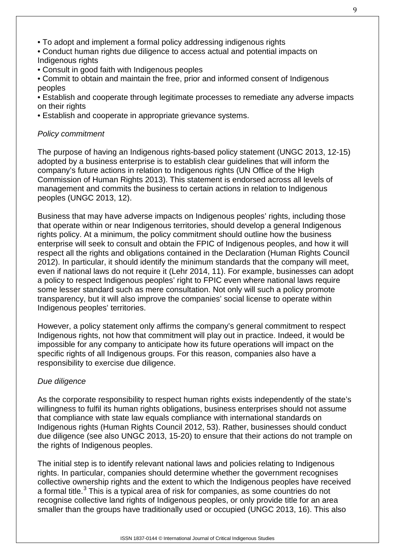- To adopt and implement a formal policy addressing indigenous rights
- Conduct human rights due diligence to access actual and potential impacts on Indigenous rights
- Consult in good faith with Indigenous peoples
- Commit to obtain and maintain the free, prior and informed consent of Indigenous peoples
- Establish and cooperate through legitimate processes to remediate any adverse impacts on their rights
- Establish and cooperate in appropriate grievance systems.

#### *Policy commitment*

The purpose of having an Indigenous rights-based policy statement (UNGC 2013, 12-15) adopted by a business enterprise is to establish clear guidelines that will inform the company's future actions in relation to Indigenous rights (UN Office of the High Commission of Human Rights 2013). This statement is endorsed across all levels of management and commits the business to certain actions in relation to Indigenous peoples (UNGC 2013, 12).

Business that may have adverse impacts on Indigenous peoples' rights, including those that operate within or near Indigenous territories, should develop a general Indigenous rights policy. At a minimum, the policy commitment should outline how the business enterprise will seek to consult and obtain the FPIC of Indigenous peoples, and how it will respect all the rights and obligations contained in the Declaration (Human Rights Council 2012). In particular, it should identify the minimum standards that the company will meet, even if national laws do not require it (Lehr 2014, 11). For example, businesses can adopt a policy to respect Indigenous peoples' right to FPIC even where national laws require some lesser standard such as mere consultation. Not only will such a policy promote transparency, but it will also improve the companies' social license to operate within Indigenous peoples' territories.

However, a policy statement only affirms the company's general commitment to respect Indigenous rights, not how that commitment will play out in practice. Indeed, it would be impossible for any company to anticipate how its future operations will impact on the specific rights of all Indigenous groups. For this reason, companies also have a responsibility to exercise due diligence.

#### *Due diligence*

As the corporate responsibility to respect human rights exists independently of the state's willingness to fulfil its human rights obligations, business enterprises should not assume that compliance with state law equals compliance with international standards on Indigenous rights (Human Rights Council 2012, 53). Rather, businesses should conduct due diligence (see also UNGC 2013, 15-20) to ensure that their actions do not trample on the rights of Indigenous peoples.

The initial step is to identify relevant national laws and policies relating to Indigenous rights. In particular, companies should determine whether the government recognises collective ownership rights and the extent to which the Indigenous peoples have received a formal title. $3$  This is a typical area of risk for companies, as some countries do not recognise collective land rights of Indigenous peoples, or only provide title for an area smaller than the groups have traditionally used or occupied (UNGC 2013, 16). This also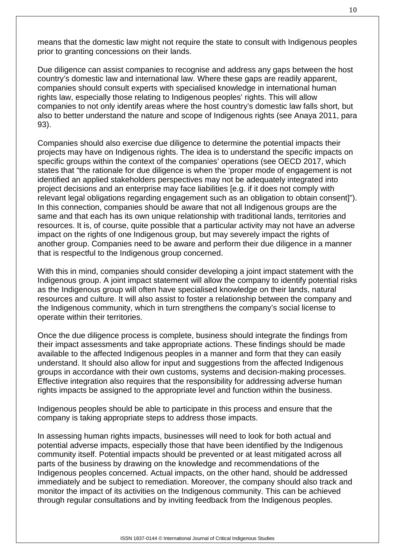means that the domestic law might not require the state to consult with Indigenous peoples prior to granting concessions on their lands.

Due diligence can assist companies to recognise and address any gaps between the host country's domestic law and international law. Where these gaps are readily apparent, companies should consult experts with specialised knowledge in international human rights law, especially those relating to Indigenous peoples' rights. This will allow companies to not only identify areas where the host country's domestic law falls short, but also to better understand the nature and scope of Indigenous rights (see Anaya 2011, para 93).

Companies should also exercise due diligence to determine the potential impacts their projects may have on Indigenous rights. The idea is to understand the specific impacts on specific groups within the context of the companies' operations (see OECD 2017, which states that "the rationale for due diligence is when the 'proper mode of engagement is not identified an applied stakeholders perspectives may not be adequately integrated into project decisions and an enterprise may face liabilities [e.g. if it does not comply with relevant legal obligations regarding engagement such as an obligation to obtain consent]"). In this connection, companies should be aware that not all Indigenous groups are the same and that each has its own unique relationship with traditional lands, territories and resources. It is, of course, quite possible that a particular activity may not have an adverse impact on the rights of one Indigenous group, but may severely impact the rights of another group. Companies need to be aware and perform their due diligence in a manner that is respectful to the Indigenous group concerned.

With this in mind, companies should consider developing a joint impact statement with the Indigenous group. A joint impact statement will allow the company to identify potential risks as the Indigenous group will often have specialised knowledge on their lands, natural resources and culture. It will also assist to foster a relationship between the company and the Indigenous community, which in turn strengthens the company's social license to operate within their territories.

Once the due diligence process is complete, business should integrate the findings from their impact assessments and take appropriate actions. These findings should be made available to the affected Indigenous peoples in a manner and form that they can easily understand. It should also allow for input and suggestions from the affected Indigenous groups in accordance with their own customs, systems and decision-making processes. Effective integration also requires that the responsibility for addressing adverse human rights impacts be assigned to the appropriate level and function within the business.

Indigenous peoples should be able to participate in this process and ensure that the company is taking appropriate steps to address those impacts.

In assessing human rights impacts, businesses will need to look for both actual and potential adverse impacts, especially those that have been identified by the Indigenous community itself. Potential impacts should be prevented or at least mitigated across all parts of the business by drawing on the knowledge and recommendations of the Indigenous peoples concerned. Actual impacts, on the other hand, should be addressed immediately and be subject to remediation. Moreover, the company should also track and monitor the impact of its activities on the Indigenous community. This can be achieved through regular consultations and by inviting feedback from the Indigenous peoples.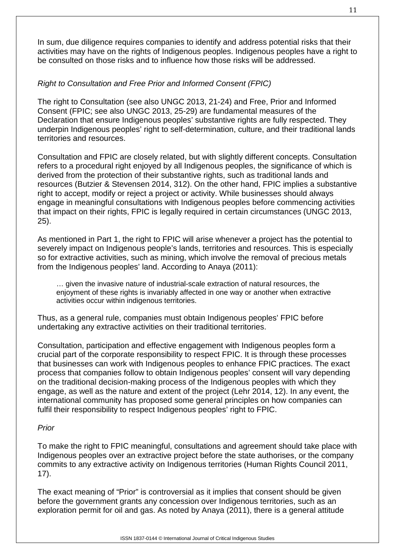In sum, due diligence requires companies to identify and address potential risks that their activities may have on the rights of Indigenous peoples. Indigenous peoples have a right to be consulted on those risks and to influence how those risks will be addressed.

# *Right to Consultation and Free Prior and Informed Consent (FPIC)*

The right to Consultation (see also UNGC 2013, 21-24) and Free, Prior and Informed Consent (FPIC; see also UNGC 2013, 25-29) are fundamental measures of the Declaration that ensure Indigenous peoples' substantive rights are fully respected. They underpin Indigenous peoples' right to self-determination, culture, and their traditional lands territories and resources.

Consultation and FPIC are closely related, but with slightly different concepts. Consultation refers to a procedural right enjoyed by all Indigenous peoples, the significance of which is derived from the protection of their substantive rights, such as traditional lands and resources (Butzier & Stevensen 2014, 312). On the other hand, FPIC implies a substantive right to accept, modify or reject a project or activity. While businesses should always engage in meaningful consultations with Indigenous peoples before commencing activities that impact on their rights, FPIC is legally required in certain circumstances (UNGC 2013, 25).

As mentioned in Part 1, the right to FPIC will arise whenever a project has the potential to severely impact on Indigenous people's lands, territories and resources. This is especially so for extractive activities, such as mining, which involve the removal of precious metals from the Indigenous peoples' land. According to Anaya (2011):

… given the invasive nature of industrial-scale extraction of natural resources, the enjoyment of these rights is invariably affected in one way or another when extractive activities occur within indigenous territories.

Thus, as a general rule, companies must obtain Indigenous peoples' FPIC before undertaking any extractive activities on their traditional territories.

Consultation, participation and effective engagement with Indigenous peoples form a crucial part of the corporate responsibility to respect FPIC. It is through these processes that businesses can work with Indigenous peoples to enhance FPIC practices. The exact process that companies follow to obtain Indigenous peoples' consent will vary depending on the traditional decision-making process of the Indigenous peoples with which they engage, as well as the nature and extent of the project (Lehr 2014, 12). In any event, the international community has proposed some general principles on how companies can fulfil their responsibility to respect Indigenous peoples' right to FPIC.

#### *Prior*

To make the right to FPIC meaningful, consultations and agreement should take place with Indigenous peoples over an extractive project before the state authorises, or the company commits to any extractive activity on Indigenous territories (Human Rights Council 2011, 17).

The exact meaning of "Prior" is controversial as it implies that consent should be given before the government grants any concession over Indigenous territories, such as an exploration permit for oil and gas. As noted by Anaya (2011), there is a general attitude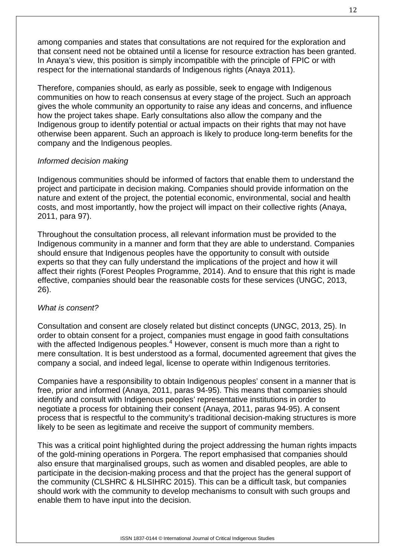among companies and states that consultations are not required for the exploration and that consent need not be obtained until a license for resource extraction has been granted. In Anaya's view, this position is simply incompatible with the principle of FPIC or with respect for the international standards of Indigenous rights (Anaya 2011).

Therefore, companies should, as early as possible, seek to engage with Indigenous communities on how to reach consensus at every stage of the project. Such an approach gives the whole community an opportunity to raise any ideas and concerns, and influence how the project takes shape. Early consultations also allow the company and the Indigenous group to identify potential or actual impacts on their rights that may not have otherwise been apparent. Such an approach is likely to produce long-term benefits for the company and the Indigenous peoples.

#### *Informed decision making*

Indigenous communities should be informed of factors that enable them to understand the project and participate in decision making. Companies should provide information on the nature and extent of the project, the potential economic, environmental, social and health costs, and most importantly, how the project will impact on their collective rights (Anaya, 2011, para 97).

Throughout the consultation process, all relevant information must be provided to the Indigenous community in a manner and form that they are able to understand. Companies should ensure that Indigenous peoples have the opportunity to consult with outside experts so that they can fully understand the implications of the project and how it will affect their rights (Forest Peoples Programme, 2014). And to ensure that this right is made effective, companies should bear the reasonable costs for these services (UNGC, 2013, 26).

#### *What is consent?*

Consultation and consent are closely related but distinct concepts (UNGC, 2013, 25). In order to obtain consent for a project, companies must engage in good faith consultations with the affected Indigenous peoples.<sup>[4](#page-16-3)</sup> However, consent is much more than a right to mere consultation. It is best understood as a formal, documented agreement that gives the company a social, and indeed legal, license to operate within Indigenous territories.

Companies have a responsibility to obtain Indigenous peoples' consent in a manner that is free, prior and informed (Anaya, 2011, paras 94-95). This means that companies should identify and consult with Indigenous peoples' representative institutions in order to negotiate a process for obtaining their consent (Anaya, 2011, paras 94-95). A consent process that is respectful to the community's traditional decision-making structures is more likely to be seen as legitimate and receive the support of community members.

This was a critical point highlighted during the project addressing the human rights impacts of the gold-mining operations in Porgera. The report emphasised that companies should also ensure that marginalised groups, such as women and disabled peoples, are able to participate in the decision-making process and that the project has the general support of the community (CLSHRC & HLSIHRC 2015). This can be a difficult task, but companies should work with the community to develop mechanisms to consult with such groups and enable them to have input into the decision.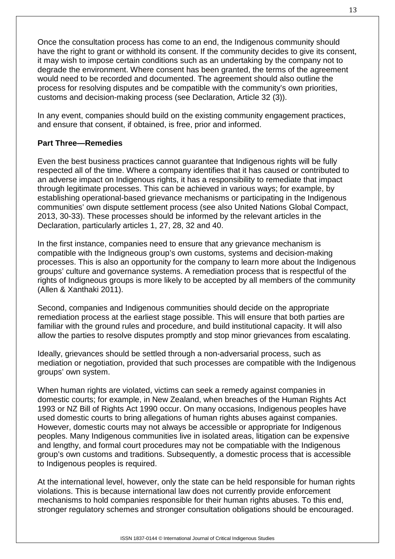Once the consultation process has come to an end, the Indigenous community should have the right to grant or withhold its consent. If the community decides to give its consent, it may wish to impose certain conditions such as an undertaking by the company not to degrade the environment. Where consent has been granted, the terms of the agreement would need to be recorded and documented. The agreement should also outline the process for resolving disputes and be compatible with the community's own priorities, customs and decision-making process (see Declaration, Article 32 (3)).

In any event, companies should build on the existing community engagement practices, and ensure that consent, if obtained, is free, prior and informed.

#### **Part Three—Remedies**

Even the best business practices cannot guarantee that Indigenous rights will be fully respected all of the time. Where a company identifies that it has caused or contributed to an adverse impact on Indigenous rights, it has a responsibility to remediate that impact through legitimate processes. This can be achieved in various ways; for example, by establishing operational-based grievance mechanisms or participating in the Indigenous communities' own dispute settlement process (see also United Nations Global Compact, 2013, 30-33). These processes should be informed by the relevant articles in the Declaration, particularly articles 1, 27, 28, 32 and 40.

In the first instance, companies need to ensure that any grievance mechanism is compatible with the Indigneous group's own customs, systems and decision-making processes. This is also an opportunity for the company to learn more about the Indigenous groups' culture and governance systems. A remediation process that is respectful of the rights of Indigneous groups is more likely to be accepted by all members of the community (Allen & Xanthaki 2011).

Second, companies and Indigenous communities should decide on the appropriate remediation process at the earliest stage possible. This will ensure that both parties are familiar with the ground rules and procedure, and build institutional capacity. It will also allow the parties to resolve disputes promptly and stop minor grievances from escalating.

Ideally, grievances should be settled through a non-adversarial process, such as mediation or negotiation, provided that such processes are compatible with the Indigenous groups' own system.

When human rights are violated, victims can seek a remedy against companies in domestic courts; for example, in New Zealand, when breaches of the Human Rights Act 1993 or NZ Bill of Rights Act 1990 occur. On many occasions, Indigenous peoples have used domestic courts to bring allegations of human rights abuses against companies. However, domestic courts may not always be accessible or appropriate for Indigenous peoples. Many Indigenous communities live in isolated areas, litigation can be expensive and lengthy, and formal court procedures may not be compatiable with the Indigenous group's own customs and traditions. Subsequently, a domestic process that is accessible to Indigenous peoples is required.

At the international level, however, only the state can be held responsible for human rights violations. This is because international law does not currently provide enforcement mechanisms to hold companies responsible for their human rights abuses. To this end, stronger regulatory schemes and stronger consultation obligations should be encouraged.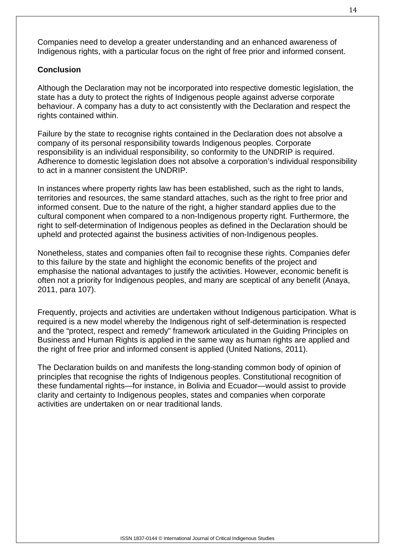Companies need to develop a greater understanding and an enhanced awareness of Indigenous rights, with a particular focus on the right of free prior and informed consent.

#### **Conclusion**

Although the Declaration may not be incorporated into respective domestic legislation, the state has a duty to protect the rights of Indigenous people against adverse corporate behaviour. A company has a duty to act consistently with the Declaration and respect the rights contained within.

Failure by the state to recognise rights contained in the Declaration does not absolve a company of its personal responsibility towards Indigenous peoples. Corporate responsibility is an individual responsibility, so conformity to the UNDRIP is required. Adherence to domestic legislation does not absolve a corporation's individual responsibility to act in a manner consistent the UNDRIP.

In instances where property rights law has been established, such as the right to lands, territories and resources, the same standard attaches, such as the right to free prior and informed consent. Due to the nature of the right, a higher standard applies due to the cultural component when compared to a non-Indigenous property right. Furthermore, the right to self-determination of Indigenous peoples as defined in the Declaration should be upheld and protected against the business activities of non-Indigenous peoples.

Nonetheless, states and companies often fail to recognise these rights. Companies defer to this failure by the state and highlight the economic benefits of the project and emphasise the national advantages to justify the activities. However, economic benefit is often not a priority for Indigenous peoples, and many are sceptical of any benefit (Anaya, 2011, para 107).

Frequently, projects and activities are undertaken without Indigenous participation. What is required is a new model whereby the Indigenous right of self-determination is respected and the "protect, respect and remedy" framework articulated in the Guiding Principles on Business and Human Rights is applied in the same way as human rights are applied and the right of free prior and informed consent is applied (United Nations, 2011).

The Declaration builds on and manifests the long-standing common body of opinion of principles that recognise the rights of Indigenous peoples. Constitutional recognition of these fundamental rights—for instance, in Bolivia and Ecuador—would assist to provide clarity and certainty to Indigenous peoples, states and companies when corporate activities are undertaken on or near traditional lands.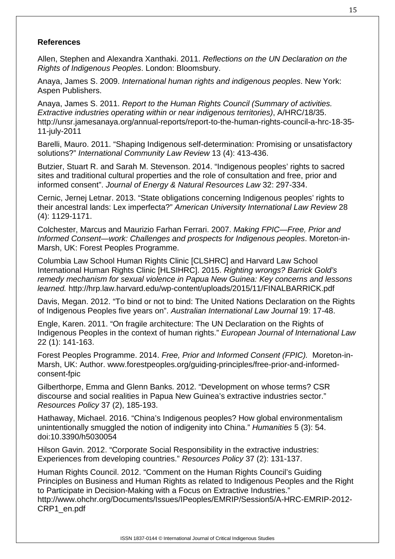#### **References**

Allen, Stephen and Alexandra Xanthaki. 2011. *Reflections on the UN Declaration on the Rights of Indigenous Peoples*. London: Bloomsbury.

Anaya, James S. 2009. *International human rights and indigenous peoples*. New York: Aspen Publishers.

Anaya, James S. 2011. *Report to the Human Rights Council (Summary of activities. Extractive industries operating within or near indigenous territories)*, A/HRC/18/35. [http://unsr.jamesanaya.org/annual-reports/report-to-the-human-rights-council-a-hrc-18-35-](http://unsr.jamesanaya.org/annual-reports/report-to-the-human-rights-council-a-hrc-18-35-11-july-2011) [11-july-2011](http://unsr.jamesanaya.org/annual-reports/report-to-the-human-rights-council-a-hrc-18-35-11-july-2011)

Barelli, Mauro. 2011. "Shaping Indigenous self-determination: Promising or unsatisfactory solutions?" *International Community Law Review* 13 (4): 413-436.

Butzier, Stuart R. and Sarah M. Stevenson. 2014. "Indigenous peoples' rights to sacred sites and traditional cultural properties and the role of consultation and free, prior and informed consent". *Journal of Energy & Natural Resources Law* 32: 297-334.

Cernic, Jernej Letnar. 2013. "State obligations concerning Indigenous peoples' rights to their ancestral lands: Lex imperfecta?" *American University International Law Review* 28 (4): 1129-1171.

Colchester, Marcus and Maurizio Farhan Ferrari. 2007. *Making FPIC—Free, Prior and Informed Consent—work: Challenges and prospects for Indigenous peoples*. Moreton-in-Marsh, UK: Forest Peoples Programme.

Columbia Law School Human Rights Clinic [CLSHRC] and Harvard Law School International Human Rights Clinic [HLSIHRC]. 2015. *Righting wrongs? Barrick Gold's remedy mechanism for sexual violence in Papua New Guinea: Key concerns and lessons learned.* <http://hrp.law.harvard.edu/wp-content/uploads/2015/11/FINALBARRICK.pdf>

Davis, Megan. 2012. "To bind or not to bind: The United Nations Declaration on the Rights of Indigenous Peoples five years on". *Australian International Law Journal* 19: 17-48.

Engle, Karen. 2011. "On fragile architecture: The UN Declaration on the Rights of Indigenous Peoples in the context of human rights." *European Journal of International Law* 22 (1): 141-163.

Forest Peoples Programme. 2014. *Free, Prior and Informed Consent (FPIC).* Moreton-in-Marsh, UK: Author. www.forestpeoples.org/guiding-principles/free-prior-and-informedconsent-fpic

Gilberthorpe, Emma and Glenn Banks. 2012. "Development on whose terms? CSR discourse and social realities in Papua New Guinea's extractive industries sector." *Resources Policy* 37 (2), 185-193.

Hathaway, Michael. 2016. "China's Indigenous peoples? How global environmentalism unintentionally smuggled the notion of indigenity into China." *Humanities* 5 (3): 54. doi:10.3390/h5030054

Hilson Gavin. 2012. "Corporate Social Responsibility in the extractive industries: Experiences from developing countries." *Resources Policy* 37 (2): 131-137.

Human Rights Council. 2012. "Comment on the Human Rights Council's Guiding Principles on Business and Human Rights as related to Indigenous Peoples and the Right to Participate in Decision-Making with a Focus on Extractive Industries." [http://www.ohchr.org/Documents/Issues/IPeoples/EMRIP/Session5/A-HRC-EMRIP-2012-](http://www.ohchr.org/Documents/Issues/IPeoples/EMRIP/Session5/A-HRC-EMRIP-2012-CRP1_en.pdf) [CRP1\\_en.pdf](http://www.ohchr.org/Documents/Issues/IPeoples/EMRIP/Session5/A-HRC-EMRIP-2012-CRP1_en.pdf)

ISSN 1837-0144 © International Journal of Critical Indigenous Studies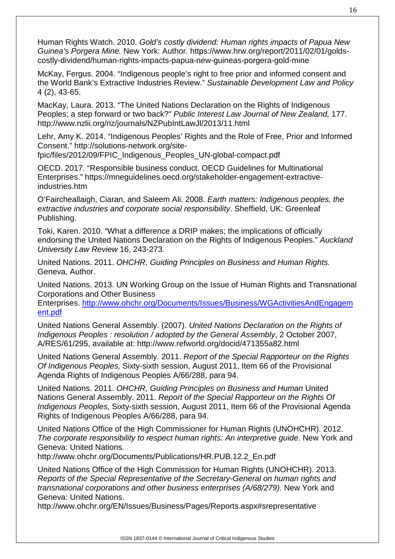Human Rights Watch. 2010. *Gold's costly dividend: Human rights impacts of Papua New Guinea's Porgera Mine.* New York: Author. https://www.hrw.org/report/2011/02/01/goldscostly-dividend/human-rights-impacts-papua-new-guineas-porgera-gold-mine

McKay, Fergus. 2004. "Indigenous people's right to free prior and informed consent and the World Bank's Extractive Industries Review." *Sustainable Development Law and Policy* 4 (2), 43-65.

MacKay, Laura. 2013. "The United Nations Declaration on the Rights of Indigenous Peoples; a step forward or two back?" *Public Interest Law Journal of New Zealand,* 177. http://www.nzlii.org/nz/journals/NZPubIntLawJl/2013/11.html

Lehr, Amy K. 2014. "Indigenous Peoples' Rights and the Role of Free, Prior and Informed Consent." [http://solutions-network.org/site-](http://solutions-network.org/site-fpic/files/2012/09/FPIC_Indigenous_Peoples_UN-global-compact.pdf)

[fpic/files/2012/09/FPIC\\_Indigenous\\_Peoples\\_UN-global-compact.pdf](http://solutions-network.org/site-fpic/files/2012/09/FPIC_Indigenous_Peoples_UN-global-compact.pdf)

OECD. 2017. "Responsible business conduct. OECD Guidelines for Multinational Enterprises." [https://mneguidelines.oecd.org/stakeholder-engagement-extractive](https://mneguidelines.oecd.org/stakeholder-engagement-extractive-industries.htm)[industries.htm](https://mneguidelines.oecd.org/stakeholder-engagement-extractive-industries.htm)

O'Faircheallaigh, Ciaran, and Saleem Ali. 2008. *Earth matters: Indigenous peoples, the extractive industries and corporate social responsibility*. Sheffield, UK: Greenleaf Publishing.

Toki, Karen. 2010. "What a difference a DRIP makes; the implications of officially endorsing the United Nations Declaration on the Rights of Indigenous Peoples." *Auckland University Law Review* 16, 243-273.

United Nations. 2011. *OHCHR, Guiding Principles on Business and Human Rights.* Geneva, Author.

United Nations. 2013. UN Working Group on the Issue of Human Rights and Transnational Corporations and Other Business

Enterprises. [http://www.ohchr.org/Documents/Issues/Business/WGActivitiesAndEngagem](http://www.ohchr.org/Documents/Issues/Business/WGActivitiesAndEngagement.pdf) [ent.pdf](http://www.ohchr.org/Documents/Issues/Business/WGActivitiesAndEngagement.pdf)

United Nations General Assembly. (2007). *United Nations Declaration on the Rights of Indigenous Peoples : resolution / adopted by the General Assembly*, 2 October 2007, A/RES/61/295, available at: http://www.refworld.org/docid/471355a82.html

United Nations General Assembly. 2011. *Report of the Special Rapporteur on the Rights Of Indigenous Peoples,* Sixty-sixth session, August 2011, Item 66 of the Provisional Agenda Rights of Indigenous Peoples A/66/288, para 94.

United Nations. 2011. *OHCHR, Guiding Principles on Business and Human* United Nations General Assembly. 2011. *Report of the Special Rapporteur on the Rights Of Indigenous Peoples,* Sixty-sixth session, August 2011, Item 66 of the Provisional Agenda Rights of Indigenous Peoples A/66/288, para 94.

United Nations Office of the High Commissioner for Human Rights (UNOHCHR). 2012. The corporate responsibility to respect human rights: An interpretive guide. New York and Geneva: United Nations.

http://www.ohchr.org/Documents/Publications/HR.PUB.12.2\_En.pdf

United Nations Office of the High Commission for Human Rights (UNOHCHR). 2013. *Reports of the Special Representative of the Secretary-General on human rights and transnational corporations and other business enterprises (A/68/279).* New York and Geneva: United Nations.

http://www.ohchr.org/EN/Issues/Business/Pages/Reports.aspx#srepresentative